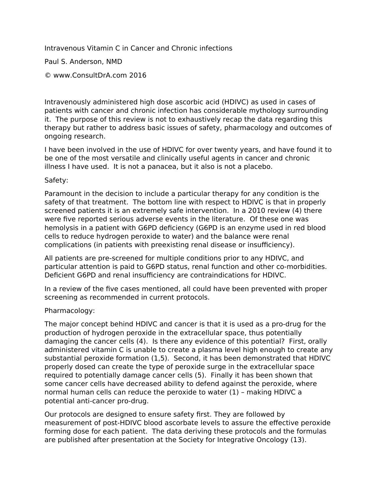Intravenous Vitamin C in Cancer and Chronic infections

Paul S. Anderson, NMD

© www.ConsultDrA.com 2016

Intravenously administered high dose ascorbic acid (HDIVC) as used in cases of patients with cancer and chronic infection has considerable mythology surrounding it. The purpose of this review is not to exhaustively recap the data regarding this therapy but rather to address basic issues of safety, pharmacology and outcomes of ongoing research.

I have been involved in the use of HDIVC for over twenty years, and have found it to be one of the most versatile and clinically useful agents in cancer and chronic illness I have used. It is not a panacea, but it also is not a placebo.

## Safety:

Paramount in the decision to include a particular therapy for any condition is the safety of that treatment. The bottom line with respect to HDIVC is that in properly screened patients it is an extremely safe intervention. In a 2010 review (4) there were five reported serious adverse events in the literature. Of these one was hemolysis in a patient with G6PD deficiency (G6PD is an enzyme used in red blood cells to reduce hydrogen peroxide to water) and the balance were renal complications (in patients with preexisting renal disease or insufficiency).

All patients are pre-screened for multiple conditions prior to any HDIVC, and particular attention is paid to G6PD status, renal function and other co-morbidities. Deficient G6PD and renal insufficiency are contraindications for HDIVC.

In a review of the five cases mentioned, all could have been prevented with proper screening as recommended in current protocols.

## Pharmacology:

The major concept behind HDIVC and cancer is that it is used as a pro-drug for the production of hydrogen peroxide in the extracellular space, thus potentially damaging the cancer cells (4). Is there any evidence of this potential? First, orally administered vitamin C is unable to create a plasma level high enough to create any substantial peroxide formation (1,5). Second, it has been demonstrated that HDIVC properly dosed can create the type of peroxide surge in the extracellular space required to potentially damage cancer cells (5). Finally it has been shown that some cancer cells have decreased ability to defend against the peroxide, where normal human cells can reduce the peroxide to water (1) – making HDIVC a potential anti-cancer pro-drug.

Our protocols are designed to ensure safety first. They are followed by measurement of post-HDIVC blood ascorbate levels to assure the effective peroxide forming dose for each patient. The data deriving these protocols and the formulas are published after presentation at the Society for Integrative Oncology (13).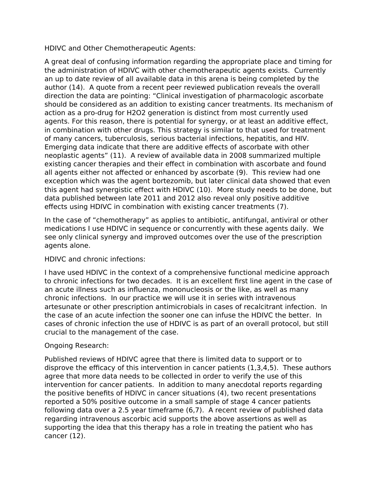HDIVC and Other Chemotherapeutic Agents:

A great deal of confusing information regarding the appropriate place and timing for the administration of HDIVC with other chemotherapeutic agents exists. Currently an up to date review of all available data in this arena is being completed by the author (14). A quote from a recent peer reviewed publication reveals the overall direction the data are pointing: "Clinical investigation of pharmacologic ascorbate should be considered as an addition to existing cancer treatments. Its mechanism of action as a pro-drug for H2O2 generation is distinct from most currently used agents. For this reason, there is potential for synergy, or at least an additive effect, in combination with other drugs. This strategy is similar to that used for treatment of many cancers, tuberculosis, serious bacterial infections, hepatitis, and HIV. Emerging data indicate that there are additive effects of ascorbate with other neoplastic agents" (11). A review of available data in 2008 summarized multiple existing cancer therapies and their effect in combination with ascorbate and found all agents either not affected or enhanced by ascorbate (9). This review had one exception which was the agent bortezomib, but later clinical data showed that even this agent had synergistic effect with HDIVC (10). More study needs to be done, but data published between late 2011 and 2012 also reveal only positive additive effects using HDIVC in combination with existing cancer treatments (7).

In the case of "chemotherapy" as applies to antibiotic, antifungal, antiviral or other medications I use HDIVC in sequence or concurrently with these agents daily. We see only clinical synergy and improved outcomes over the use of the prescription agents alone.

# HDIVC and chronic infections:

I have used HDIVC in the context of a comprehensive functional medicine approach to chronic infections for two decades. It is an excellent first line agent in the case of an acute illness such as influenza, mononucleosis or the like, as well as many chronic infections. In our practice we will use it in series with intravenous artesunate or other prescription antimicrobials in cases of recalcitrant infection. In the case of an acute infection the sooner one can infuse the HDIVC the better. In cases of chronic infection the use of HDIVC is as part of an overall protocol, but still crucial to the management of the case.

# Ongoing Research:

Published reviews of HDIVC agree that there is limited data to support or to disprove the efficacy of this intervention in cancer patients (1,3,4,5). These authors agree that more data needs to be collected in order to verify the use of this intervention for cancer patients. In addition to many anecdotal reports regarding the positive benefits of HDIVC in cancer situations (4), two recent presentations reported a 50% positive outcome in a small sample of stage 4 cancer patients following data over a 2.5 year timeframe (6,7). A recent review of published data regarding intravenous ascorbic acid supports the above assertions as well as supporting the idea that this therapy has a role in treating the patient who has cancer (12).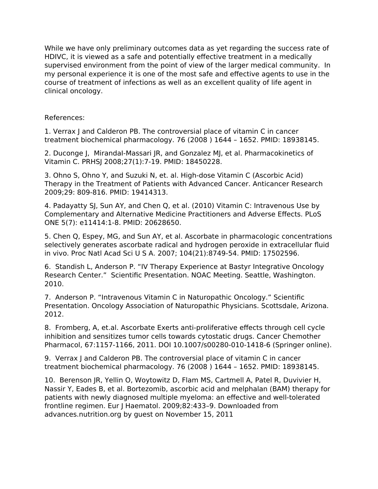While we have only preliminary outcomes data as yet regarding the success rate of HDIVC, it is viewed as a safe and potentially effective treatment in a medically supervised environment from the point of view of the larger medical community. In my personal experience it is one of the most safe and effective agents to use in the course of treatment of infections as well as an excellent quality of life agent in clinical oncology.

# References:

1. Verrax J and Calderon PB. The controversial place of vitamin C in cancer treatment biochemical pharmacology. 76 (2008 ) 1644 – 1652. PMID: 18938145.

2. Duconge J, MirandaI-Massari JR, and Gonzalez MJ, et al. Pharmacokinetics of Vitamin C. PRHSJ 2008;27(1):7-19. PMID: 18450228.

3. Ohno S, Ohno Y, and Suzuki N, et. al. High-dose Vitamin C (Ascorbic Acid) Therapy in the Treatment of Patients with Advanced Cancer. Anticancer Research 2009;29: 809-816. PMID: 19414313.

4. Padayatty SJ, Sun AY, and Chen Q, et al. (2010) Vitamin C: Intravenous Use by Complementary and Alternative Medicine Practitioners and Adverse Effects. PLoS ONE 5(7): e11414:1-8. PMID: 20628650.

5. Chen Q, Espey, MG, and Sun AY, et al. Ascorbate in pharmacologic concentrations selectively generates ascorbate radical and hydrogen peroxide in extracellular fluid in vivo. Proc Natl Acad Sci U S A. 2007; 104(21):8749-54. PMID: 17502596.

6. Standish L, Anderson P. "IV Therapy Experience at Bastyr Integrative Oncology Research Center." Scientific Presentation. NOAC Meeting. Seattle, Washington. 2010.

7. Anderson P. "Intravenous Vitamin C in Naturopathic Oncology." Scientific Presentation. Oncology Association of Naturopathic Physicians. Scottsdale, Arizona. 2012.

8. Fromberg, A, et.al. Ascorbate Exerts anti-proliferative effects through cell cycle inhibition and sensitizes tumor cells towards cytostatic drugs. Cancer Chemother Pharmacol, 67:1157-1166, 2011. DOI 10.1007/s00280-010-1418-6 (Springer online).

9. Verrax J and Calderon PB. The controversial place of vitamin C in cancer treatment biochemical pharmacology. 76 (2008 ) 1644 – 1652. PMID: 18938145.

10. Berenson JR, Yellin O, Woytowitz D, Flam MS, Cartmell A, Patel R, Duvivier H, Nassir Y, Eades B, et al. Bortezomib, ascorbic acid and melphalan (BAM) therapy for patients with newly diagnosed multiple myeloma: an effective and well-tolerated frontline regimen. Eur J Haematol. 2009;82:433–9. Downloaded from advances.nutrition.org by guest on November 15, 2011